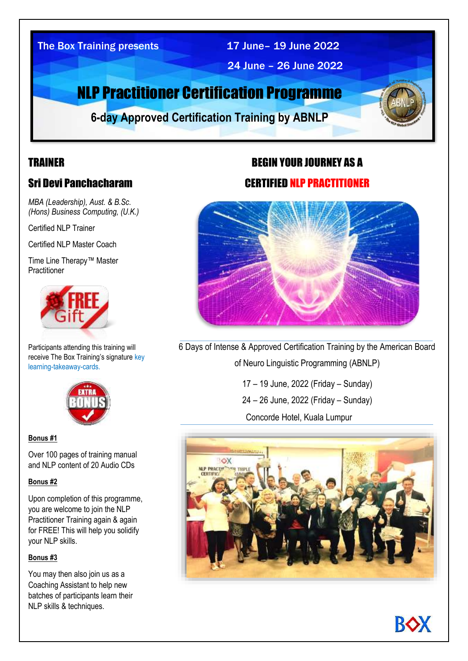### The Box Training presents 17 June-19 June 2022

24 June – 26 June 2022

# NLP Practitioner Certification Programme

**6-day Approved Certification Training by ABNLP** 

# TRAINER

# Sri Devi Panchacharam

*MBA (Leadership), Aust. & B.Sc. (Hons) Business Computing, (U.K.)* 

Certified NLP Trainer

Certified NLP Master Coach

Time Line Therapy™ Master **Practitioner** 



Participants attending this training will receive The Box Training's signature key learning-takeaway-cards.



#### **Bonus #1**

Over 100 pages of training manual and NLP content of 20 Audio CDs

#### **Bonus #2**

Upon completion of this programme, you are welcome to join the NLP Practitioner Training again & again for FREE! This will help you solidify your NLP skills.

#### **Bonus #3**

You may then also join us as a Coaching Assistant to help new batches of participants learn their NLP skills & techniques.

# BEGIN YOUR JOURNEY AS A

**4-day Approved** 

### CERTIFIED NLP PRACTITIONER



6 Days of Intense & Approved Certification Training by the American Board of Neuro Linguistic Programming (ABNLP)

> 17 – 19 June, 2022 (Friday – Sunday) 24 – 26 June, 2022 (Friday – Sunday) Concorde Hotel, Kuala Lumpur



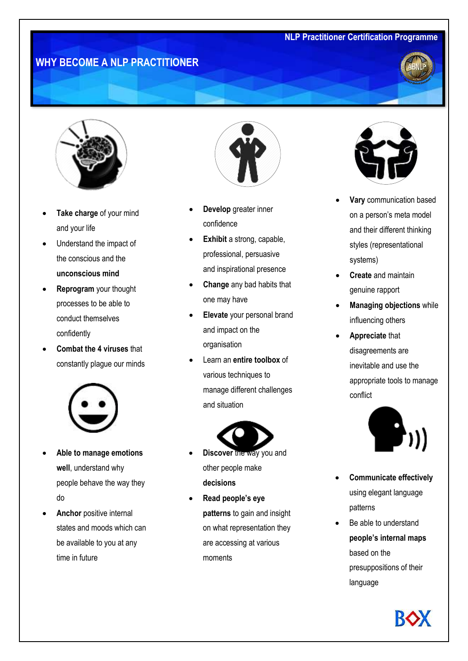# **WHY BECOME A NLP PRACTITIONER**





- **Take charge** of your mind and your life
- Understand the impact of the conscious and the **unconscious mind**
- **Reprogram** your thought processes to be able to conduct themselves confidently
- **Combat the 4 viruses** that constantly plague our minds



- **Able to manage emotions well**, understand why people behave the way they do
- **Anchor** positive internal states and moods which can be available to you at any time in future



- **Develop** greater inner confidence
- **Exhibit** a strong, capable, professional, persuasive and inspirational presence
- **Change** any bad habits that one may have
- **Elevate** your personal brand and impact on the organisation
- Learn an **entire toolbox** of various techniques to manage different challenges and situation



- **Discover** the way you and other people make **decisions**
- **Read people's eye patterns** to gain and insight on what representation they are accessing at various moments



- **Vary** communication based on a person's meta model and their different thinking styles (representational systems)
- **Create** and maintain genuine rapport
- **Managing objections** while influencing others
- **Appreciate** that disagreements are inevitable and use the appropriate tools to manage conflict



- **Communicate effectively**  using elegant language patterns
	- Be able to understand **people's internal maps**  based on the presuppositions of their language

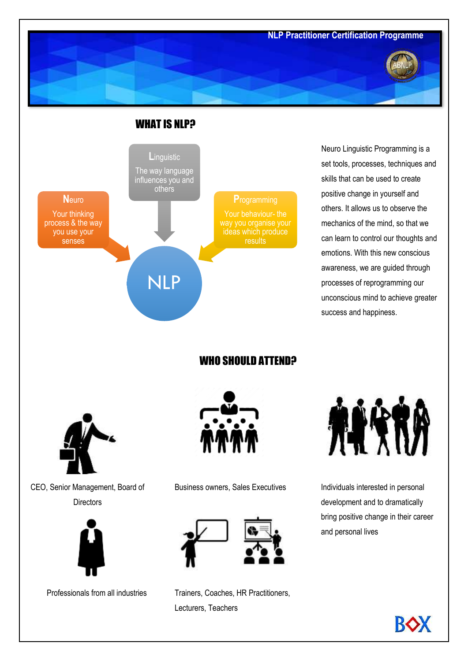



Neuro Linguistic Programming is a set tools, processes, techniques and skills that can be used to create positive change in yourself and others. It allows us to observe the mechanics of the mind, so that we can learn to control our thoughts and emotions. With this new conscious awareness, we are guided through processes of reprogramming our unconscious mind to achieve greater success and happiness.

WHO SHOULD ATTEND?



CEO, Senior Management, Board of **Directors** 





Business owners, Sales Executives Individuals interested in personal



Professionals from all industries Trainers, Coaches, HR Practitioners, Lecturers, Teachers



development and to dramatically bring positive change in their career and personal lives

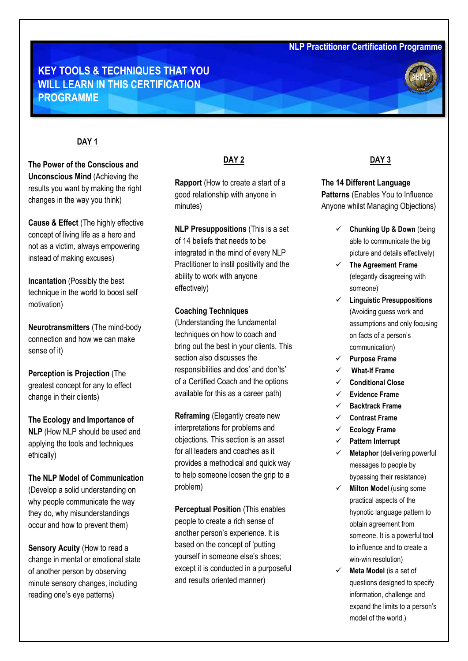# **KEY TOOLS & TECHNIQUES THAT YOU WILL LEARN IN THIS CERTIFICATION PROGRAMME**



#### **DAY 1**

**The Power of the Conscious and Unconscious Mind** (Achieving the results you want by making the right changes in the way you think)

**Cause & Effect** (The highly effective concept of living life as a hero and not as a victim, always empowering instead of making excuses)

**Incantation** (Possibly the best technique in the world to boost self motivation)

**Neurotransmitters** (The mind-body connection and how we can make sense of it)

**Perception is Projection** (The greatest concept for any to effect change in their clients)

**The Ecology and Importance of NLP** (How NLP should be used and applying the tools and techniques ethically)

**The NLP Model of Communication**  (Develop a solid understanding on why people communicate the way they do, why misunderstandings occur and how to prevent them)

**Sensory Acuity** (How to read a change in mental or emotional state of another person by observing minute sensory changes, including reading one's eye patterns)

#### **DAY 2**

**Rapport** (How to create a start of a good relationship with anyone in minutes)

**NLP Presuppositions** (This is a set of 14 beliefs that needs to be integrated in the mind of every NLP Practitioner to instil positivity and the ability to work with anyone effectively)

#### **Coaching Techniques**

(Understanding the fundamental techniques on how to coach and bring out the best in your clients. This section also discusses the responsibilities and dos' and don'ts' of a Certified Coach and the options available for this as a career path)

**Reframing** (Elegantly create new interpretations for problems and objections. This section is an asset for all leaders and coaches as it provides a methodical and quick way to help someone loosen the grip to a problem)

**Perceptual Position** (This enables people to create a rich sense of another person's experience. It is based on the concept of 'putting yourself in someone else's shoes; except it is conducted in a purposeful and results oriented manner)

#### **DAY 3**

**The 14 Different Language Patterns** (Enables You to Influence Anyone whilst Managing Objections)

- ✓ **Chunking Up & Down** (being able to communicate the big picture and details effectively)
- ✓ **The Agreement Frame** (elegantly disagreeing with someone)
- ✓ **Linguistic Presuppositions** (Avoiding guess work and assumptions and only focusing on facts of a person's communication)
- ✓ **Purpose Frame**
- ✓ **What-If Frame**
- ✓ **Conditional Close**
- ✓ **Evidence Frame**
- ✓ **Backtrack Frame**
- ✓ **Contrast Frame**
- ✓ **Ecology Frame**
- ✓ **Pattern Interrupt**
- ✓ **Metaphor** (delivering powerful messages to people by bypassing their resistance)
- ✓ **Milton Model** (using some practical aspects of the hypnotic language pattern to obtain agreement from someone. It is a powerful tool to influence and to create a win-win resolution)
- ✓ **Meta Model** (is a set of questions designed to specify information, challenge and expand the limits to a person's model of the world.)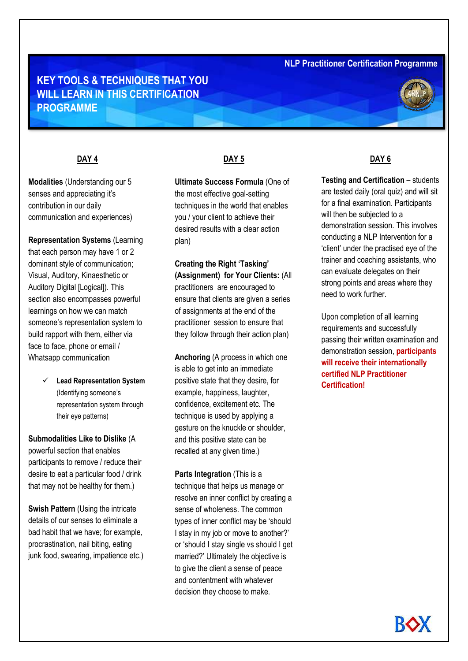# **DAY 4 PROGRAMME KEY TOOLS & TECHNIQUES THAT YOU WILL LEARN IN THIS CERTIFICATION**

#### **DAY 4**

**Modalities** (Understanding our 5 senses and appreciating it's contribution in our daily communication and experiences)

**Representation Systems** (Learning that each person may have 1 or 2 dominant style of communication; Visual, Auditory, Kinaesthetic or Auditory Digital [Logical]). This section also encompasses powerful learnings on how we can match someone's representation system to build rapport with them, either via face to face, phone or email / Whatsapp communication

> ✓ **Lead Representation System**  (Identifying someone's representation system through their eye patterns)

**Submodalities Like to Dislike** (A powerful section that enables participants to remove / reduce their desire to eat a particular food / drink that may not be healthy for them.)

**Swish Pattern** (Using the intricate details of our senses to eliminate a bad habit that we have; for example, procrastination, nail biting, eating junk food, swearing, impatience etc.)

#### **DAY 5**

**Ultimate Success Formula** (One of the most effective goal-setting techniques in the world that enables you / your client to achieve their desired results with a clear action plan)

**Creating the Right 'Tasking' (Assignment) for Your Clients:** (All practitioners are encouraged to ensure that clients are given a series of assignments at the end of the practitioner session to ensure that they follow through their action plan)

**Anchoring** (A process in which one is able to get into an immediate positive state that they desire, for example, happiness, laughter, confidence, excitement etc. The technique is used by applying a gesture on the knuckle or shoulder, and this positive state can be recalled at any given time.)

#### **Parts Integration** (This is a

technique that helps us manage or resolve an inner conflict by creating a sense of wholeness. The common types of inner conflict may be 'should I stay in my job or move to another?' or 'should I stay single vs should I get married?' Ultimately the objective is to give the client a sense of peace and contentment with whatever decision they choose to make.

#### **DAY 6**

**Testing and Certification** – students are tested daily (oral quiz) and will sit for a final examination. Participants will then be subjected to a demonstration session. This involves conducting a NLP Intervention for a 'client' under the practised eye of the trainer and coaching assistants, who can evaluate delegates on their strong points and areas where they need to work further.

Upon completion of all learning requirements and successfully passing their written examination and demonstration session, **participants will receive their internationally certified NLP Practitioner Certification!**

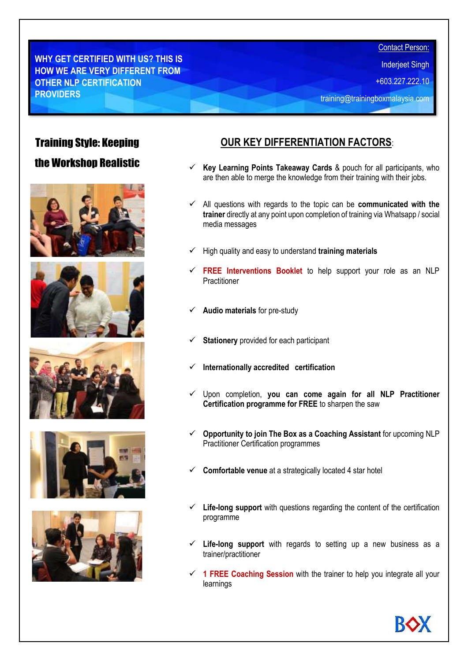**WHY GET CERTIFIED WITH US? THIS IS HOW WE ARE VERY DIFFERENT FROM OTHER NLP CERTIFICATION PROVIDERS**

Inderjeet Singh

+603.227.222.10

training@trainingboxmalaysia.com

# Training Style: Keeping

# the Workshop Realistic











# **OUR KEY DIFFERENTIATION FACTORS**:

- **Key Learning Points Takeaway Cards** & pouch for all participants, who are then able to merge the knowledge from their training with their jobs.
- ✓ All questions with regards to the topic can be **communicated with the trainer** directly at any point upon completion of training via Whatsapp / social media messages
- ✓ High quality and easy to understand **training materials**
- **FREE Interventions Booklet** to help support your role as an NLP Practitioner
- ✓ **Audio materials** for pre-study
- **Stationery** provided for each participant
- ✓ **Internationally accredited certification**
- ✓ Upon completion, **you can come again for all NLP Practitioner Certification programme for FREE** to sharpen the saw
- ✓ **Opportunity to join The Box as a Coaching Assistant** for upcoming NLP Practitioner Certification programmes
- ✓ **Comfortable venue** at a strategically located 4 star hotel
- ✓ **Life-long support** with questions regarding the content of the certification programme
- Life-long support with regards to setting up a new business as a trainer/practitioner
- ✓ **1 FREE Coaching Session** with the trainer to help you integrate all your learnings

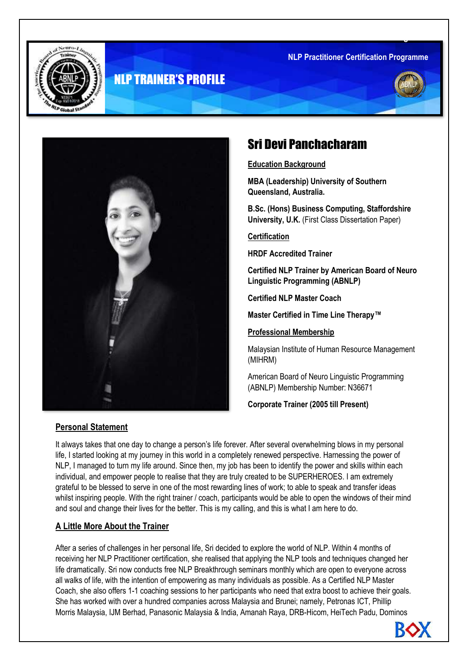**NLP Practitioner Certification Programme** 



# NLP TRAINER'S PROFILE





# Sri Devi Panchacharam

**Education Background**

**MBA (Leadership) University of Southern Queensland, Australia.**

**B.Sc. (Hons) Business Computing, Staffordshire University, U.K.** (First Class Dissertation Paper)

**Certification**

**HRDF Accredited Trainer** 

**Certified NLP Trainer by American Board of Neuro Linguistic Programming (ABNLP)**

**Certified NLP Master Coach** 

**Master Certified in Time Line Therapy™**

**Professional Membership**

Malaysian Institute of Human Resource Management (MIHRM)

American Board of Neuro Linguistic Programming (ABNLP) Membership Number: N36671

**Corporate Trainer (2005 till Present)**

#### **Personal Statement**

It always takes that one day to change a person's life forever. After several overwhelming blows in my personal life, I started looking at my journey in this world in a completely renewed perspective. Harnessing the power of NLP, I managed to turn my life around. Since then, my job has been to identify the power and skills within each individual, and empower people to realise that they are truly created to be SUPERHEROES. I am extremely grateful to be blessed to serve in one of the most rewarding lines of work; to able to speak and transfer ideas whilst inspiring people. With the right trainer / coach, participants would be able to open the windows of their mind and soul and change their lives for the better. This is my calling, and this is what I am here to do.

#### **A Little More About the Trainer**

After a series of challenges in her personal life, Sri decided to explore the world of NLP. Within 4 months of receiving her NLP Practitioner certification, she realised that applying the NLP tools and techniques changed her life dramatically. Sri now conducts free NLP Breakthrough seminars monthly which are open to everyone across all walks of life, with the intention of empowering as many individuals as possible. As a Certified NLP Master Coach, she also offers 1-1 coaching sessions to her participants who need that extra boost to achieve their goals. She has worked with over a hundred companies across Malaysia and Brunei; namely, Petronas ICT, Phillip Morris Malaysia, IJM Berhad, Panasonic Malaysia & India, Amanah Raya, DRB-Hicom, HeiTech Padu, Dominos

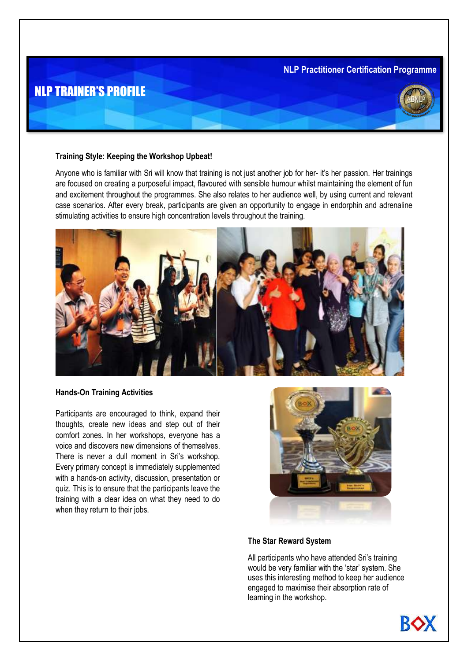#### and Ministry of Defence, Brunei. During her Master certification programme which waed by more than 18 **NLP Practitioner Certification Programme**

# NLP TRAINER'S PROFILE

#### **Training Style: Keeping the Workshop Upbeat!**

Anyone who is familiar with Sri will know that training is not just another job for her- it's her passion. Her trainings are focused on creating a purposeful impact, flavoured with sensible humour whilst maintaining the element of fun and excitement throughout the programmes. She also relates to her audience well, by using current and relevant case scenarios. After every break, participants are given an opportunity to engage in endorphin and adrenaline stimulating activities to ensure high concentration levels throughout the training.



#### **Hands-On Training Activities**

Participants are encouraged to think, expand their thoughts, create new ideas and step out of their comfort zones. In her workshops, everyone has a voice and discovers new dimensions of themselves. There is never a dull moment in Sri's workshop. Every primary concept is immediately supplemented with a hands-on activity, discussion, presentation or quiz. This is to ensure that the participants leave the training with a clear idea on what they need to do when they return to their jobs.



#### **The Star Reward System**

All participants who have attended Sri's training would be very familiar with the 'star' system. She uses this interesting method to keep her audience engaged to maximise their absorption rate of learning in the workshop.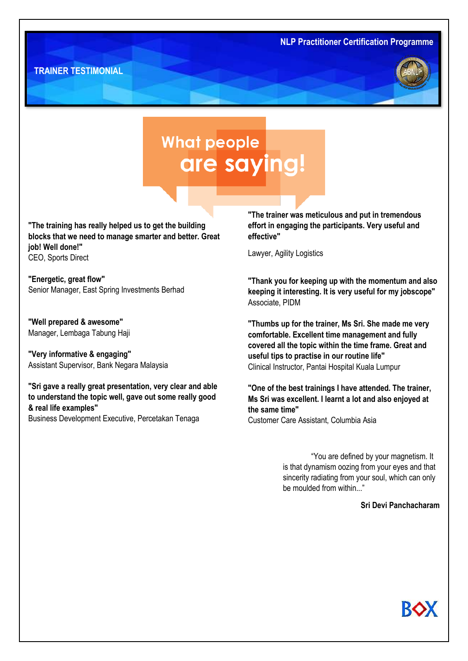



# **What people** are saying!

**"The training has really helped us to get the building blocks that we need to manage smarter and better. Great job! Well done!"** CEO, Sports Direct

**"Energetic, great flow"** Senior Manager, East Spring Investments Berhad

**"Well prepared & awesome"** Manager, Lembaga Tabung Haji

**"Very informative & engaging"** Assistant Supervisor, Bank Negara Malaysia

**"Sri gave a really great presentation, very clear and able to understand the topic well, gave out some really good & real life examples"** Business Development Executive, Percetakan Tenaga

**"The trainer was meticulous and put in tremendous effort in engaging the participants. Very useful and effective"**

Lawyer, Agility Logistics

**"Thank you for keeping up with the momentum and also keeping it interesting. It is very useful for my jobscope"** Associate, PIDM

**"Thumbs up for the trainer, Ms Sri. She made me very comfortable. Excellent time management and fully covered all the topic within the time frame. Great and useful tips to practise in our routine life"** Clinical Instructor, Pantai Hospital Kuala Lumpur

**"One of the best trainings I have attended. The trainer, Ms Sri was excellent. I learnt a lot and also enjoyed at the same time"** Customer Care Assistant, Columbia Asia

> "You are defined by your magnetism. It is that dynamism oozing from your eyes and that sincerity radiating from your soul, which can only be moulded from within..."

#### **Sri Devi Panchacharam**